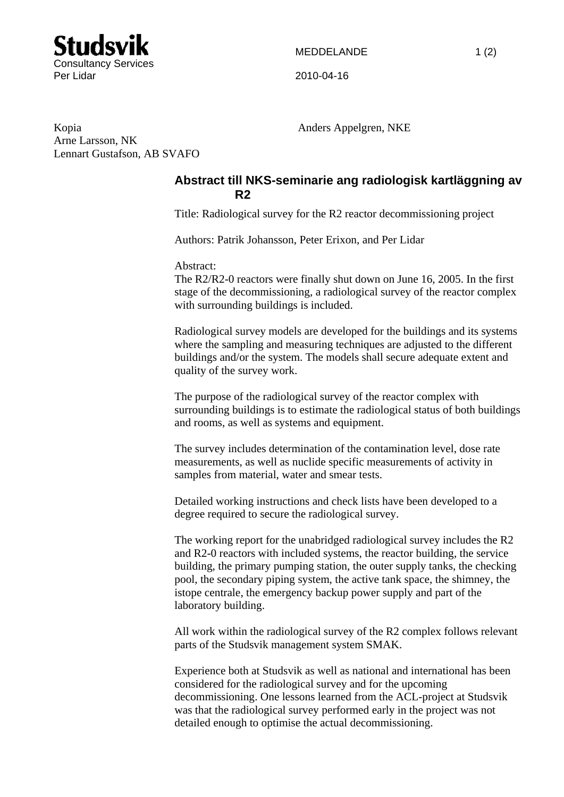

Arne Larsson, NK

Lennart Gustafson, AB SVAFO

Kopia Anders Appelgren, NKE

## **Abstract till NKS-seminarie ang radiologisk kartläggning av R2**

Title: Radiological survey for the R2 reactor decommissioning project

Authors: Patrik Johansson, Peter Erixon, and Per Lidar

Abstract:

The R2/R2-0 reactors were finally shut down on June 16, 2005. In the first stage of the decommissioning, a radiological survey of the reactor complex with surrounding buildings is included.

Radiological survey models are developed for the buildings and its systems where the sampling and measuring techniques are adjusted to the different buildings and/or the system. The models shall secure adequate extent and quality of the survey work.

The purpose of the radiological survey of the reactor complex with surrounding buildings is to estimate the radiological status of both buildings and rooms, as well as systems and equipment.

The survey includes determination of the contamination level, dose rate measurements, as well as nuclide specific measurements of activity in samples from material, water and smear tests.

Detailed working instructions and check lists have been developed to a degree required to secure the radiological survey.

The working report for the unabridged radiological survey includes the R2 and R2-0 reactors with included systems, the reactor building, the service building, the primary pumping station, the outer supply tanks, the checking pool, the secondary piping system, the active tank space, the shimney, the istope centrale, the emergency backup power supply and part of the laboratory building.

All work within the radiological survey of the R2 complex follows relevant parts of the Studsvik management system SMAK.

Experience both at Studsvik as well as national and international has been considered for the radiological survey and for the upcoming decommissioning. One lessons learned from the ACL-project at Studsvik was that the radiological survey performed early in the project was not detailed enough to optimise the actual decommissioning.